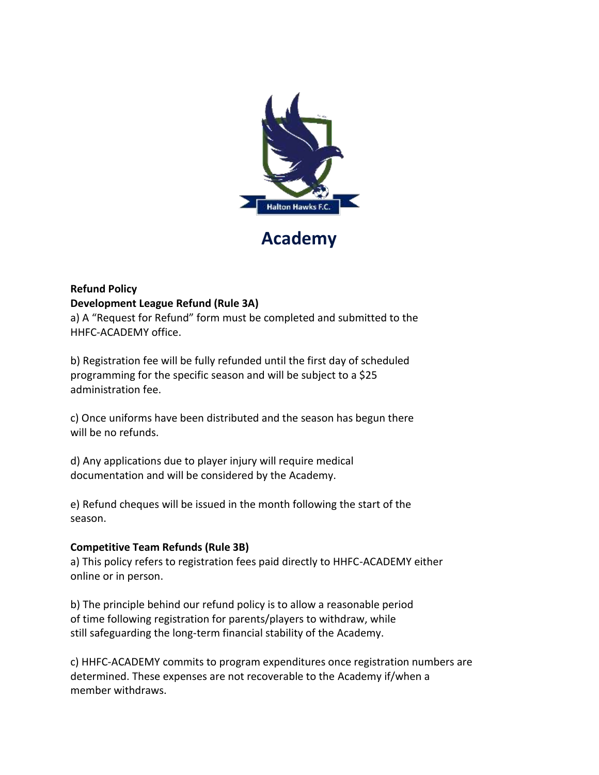

## **Academy**

## **Refund Policy**

## **Development League Refund (Rule 3A)**

a) A "Request for Refund" form must be completed and submitted to the HHFC-ACADEMY office.

b) Registration fee will be fully refunded until the first day of scheduled programming for the specific season and will be subject to a \$25 administration fee.

c) Once uniforms have been distributed and the season has begun there will be no refunds.

d) Any applications due to player injury will require medical documentation and will be considered by the Academy.

e) Refund cheques will be issued in the month following the start of the season.

## **Competitive Team Refunds (Rule 3B)**

a) This policy refers to registration fees paid directly to HHFC-ACADEMY either online or in person.

b) The principle behind our refund policy is to allow a reasonable period of time following registration for parents/players to withdraw, while still safeguarding the long-term financial stability of the Academy.

c) HHFC-ACADEMY commits to program expenditures once registration numbers are determined. These expenses are not recoverable to the Academy if/when a member withdraws.